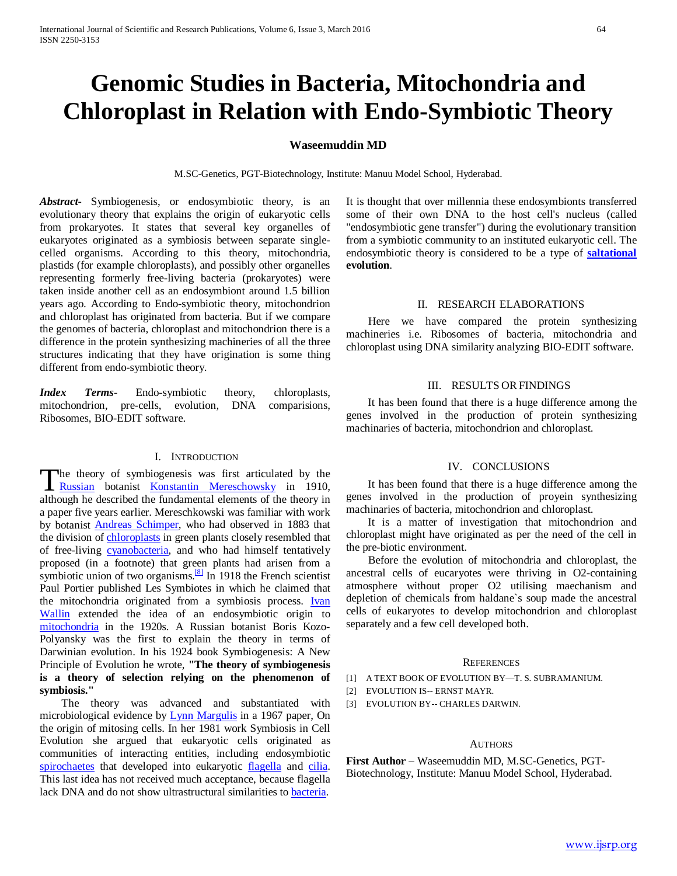# **Genomic Studies in Bacteria, Mitochondria and Chloroplast in Relation with Endo-Symbiotic Theory**

# **Waseemuddin MD**

M.SC-Genetics, PGT-Biotechnology, Institute: Manuu Model School, Hyderabad.

*Abstract***-** Symbiogenesis, or endosymbiotic theory, is an evolutionary theory that explains the origin of eukaryotic cells from prokaryotes. It states that several key organelles of eukaryotes originated as a symbiosis between separate singlecelled organisms. According to this theory, mitochondria, plastids (for example chloroplasts), and possibly other organelles representing formerly free-living bacteria (prokaryotes) were taken inside another cell as an endosymbiont around 1.5 billion years ago. According to Endo-symbiotic theory, mitochondrion and chloroplast has originated from bacteria. But if we compare the genomes of bacteria, chloroplast and mitochondrion there is a difference in the protein synthesizing machineries of all the three structures indicating that they have origination is some thing different from endo-symbiotic theory.

*Index Terms*- Endo-symbiotic theory, chloroplasts, mitochondrion, pre-cells, evolution, DNA comparisions, Ribosomes, BIO-EDIT software.

# I. INTRODUCTION

he theory of symbiogenesis was first articulated by the The theory of symbiogenesis was first articulated by the [Russian](https://en.wikipedia.org/wiki/Russians) botanist [Konstantin Mereschowsky](https://en.wikipedia.org/wiki/Konstantin_Mereschowsky) in 1910, although he described the fundamental elements of the theory in a paper five years earlier. Mereschkowski was familiar with work by botanist [Andreas Schimper,](https://en.wikipedia.org/wiki/Andreas_Franz_Wilhelm_Schimper) who had observed in 1883 that the division o[f chloroplasts](https://en.wikipedia.org/wiki/Chloroplast) in green plants closely resembled that of free-living [cyanobacteria,](https://en.wikipedia.org/wiki/Cyanobacteria) and who had himself tentatively proposed (in a footnote) that green plants had arisen from a symbiotic union of two organisms.<sup>[8]</sup> In 1918 the French scientist Paul Portier published Les Symbiotes in which he claimed that the mitochondria originated from a symbiosis process. [Ivan](https://en.wikipedia.org/wiki/Ivan_Wallin)  [Wallin](https://en.wikipedia.org/wiki/Ivan_Wallin) extended the idea of an endosymbiotic origin to [mitochondria](https://en.wikipedia.org/wiki/Mitochondrion) in the 1920s. A Russian botanist Boris Kozo-Polyansky was the first to explain the theory in terms of Darwinian evolution. In his 1924 book Symbiogenesis: A New Principle of Evolution he wrote, **"The theory of symbiogenesis is a theory of selection relying on the phenomenon of symbiosis."**

 The theory was advanced and substantiated with microbiological evidence by **Lynn Margulis** in a 1967 paper, On the origin of mitosing cells. In her 1981 work Symbiosis in Cell Evolution she argued that eukaryotic cells originated as communities of interacting entities, including endosymbiotic [spirochaetes](https://en.wikipedia.org/wiki/Spirochaete) that developed into eukaryotic [flagella](https://en.wikipedia.org/wiki/Flagellum) and cilia. This last idea has not received much acceptance, because flagella lack DNA and do not show ultrastructural similarities t[o bacteria.](https://en.wikipedia.org/wiki/Bacteria)

It is thought that over millennia these endosymbionts transferred some of their own DNA to the host cell's nucleus (called "endosymbiotic gene transfer") during the evolutionary transition from a symbiotic community to an instituted eukaryotic cell. The endosymbiotic theory is considered to be a type of **[saltational](https://en.wikipedia.org/wiki/Saltation_%28biology%29) evolution**.

# II. RESEARCH ELABORATIONS

 Here we have compared the protein synthesizing machineries i.e. Ribosomes of bacteria, mitochondria and chloroplast using DNA similarity analyzing BIO-EDIT software.

#### III. RESULTS ORFINDINGS

 It has been found that there is a huge difference among the genes involved in the production of protein synthesizing machinaries of bacteria, mitochondrion and chloroplast.

#### IV. CONCLUSIONS

 It has been found that there is a huge difference among the genes involved in the production of proyein synthesizing machinaries of bacteria, mitochondrion and chloroplast.

 It is a matter of investigation that mitochondrion and chloroplast might have originated as per the need of the cell in the pre-biotic environment.

 Before the evolution of mitochondria and chloroplast, the ancestral cells of eucaryotes were thriving in O2-containing atmosphere without proper O2 utilising maechanism and depletion of chemicals from haldane`s soup made the ancestral cells of eukaryotes to develop mitochondrion and chloroplast separately and a few cell developed both.

### **REFERENCES**

- [1] A TEXT BOOK OF EVOLUTION BY—T. S. SUBRAMANIUM.
- [2] EVOLUTION IS-- ERNST MAYR.
- [3] EVOLUTION BY-- CHARLES DARWIN.

#### AUTHORS

**First Author** – Waseemuddin MD, M.SC-Genetics, PGT-Biotechnology, Institute: Manuu Model School, Hyderabad.